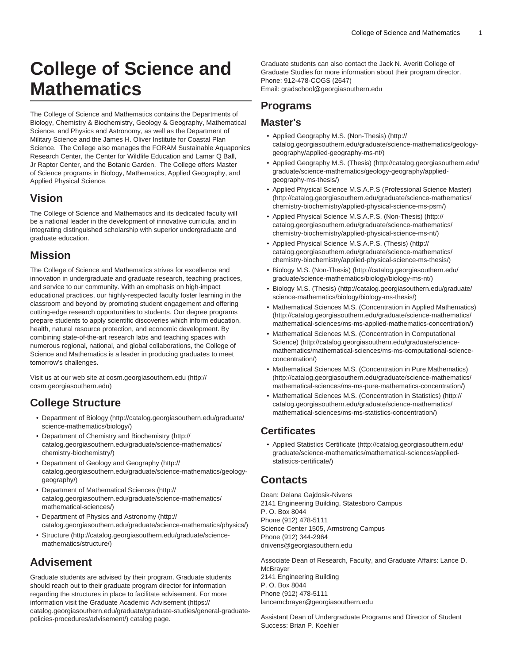# **College of Science and Mathematics**

The College of Science and Mathematics contains the Departments of Biology, Chemistry & Biochemistry, Geology & Geography, Mathematical Science, and Physics and Astronomy, as well as the Department of Military Science and the James H. Oliver Institute for Coastal Plan Science. The College also manages the FORAM Sustainable Aquaponics Research Center, the Center for Wildlife Education and Lamar Q Ball, Jr Raptor Center, and the Botanic Garden. The College offers Master of Science programs in Biology, Mathematics, Applied Geography, and Applied Physical Science.

#### **Vision**

The College of Science and Mathematics and its dedicated faculty will be a national leader in the development of innovative curricula, and in integrating distinguished scholarship with superior undergraduate and graduate education.

## **Mission**

The College of Science and Mathematics strives for excellence and innovation in undergraduate and graduate research, teaching practices, and service to our community. With an emphasis on high-impact educational practices, our highly-respected faculty foster learning in the classroom and beyond by promoting student engagement and offering cutting-edge research opportunities to students. Our degree programs prepare students to apply scientific discoveries which inform education, health, natural resource protection, and economic development. By combining state-of-the-art research labs and teaching spaces with numerous regional, national, and global collaborations, the College of Science and Mathematics is a leader in producing graduates to meet tomorrow's challenges.

Visit us at our web site at [cosm.georgiasouthern.edu](http://cosm.georgiasouthern.edu) ([http://](http://cosm.georgiasouthern.edu) [cosm.georgiasouthern.edu\)](http://cosm.georgiasouthern.edu)

# **College Structure**

- [Department of Biology](http://catalog.georgiasouthern.edu/graduate/science-mathematics/biology/) [\(http://catalog.georgiasouthern.edu/graduate/](http://catalog.georgiasouthern.edu/graduate/science-mathematics/biology/) [science-mathematics/biology/\)](http://catalog.georgiasouthern.edu/graduate/science-mathematics/biology/)
- [Department of Chemistry and Biochemistry](http://catalog.georgiasouthern.edu/graduate/science-mathematics/chemistry-biochemistry/) [\(http://](http://catalog.georgiasouthern.edu/graduate/science-mathematics/chemistry-biochemistry/) [catalog.georgiasouthern.edu/graduate/science-mathematics/](http://catalog.georgiasouthern.edu/graduate/science-mathematics/chemistry-biochemistry/) [chemistry-biochemistry/](http://catalog.georgiasouthern.edu/graduate/science-mathematics/chemistry-biochemistry/))
- [Department of Geology and Geography](http://catalog.georgiasouthern.edu/graduate/science-mathematics/geology-geography/) ([http://](http://catalog.georgiasouthern.edu/graduate/science-mathematics/geology-geography/) [catalog.georgiasouthern.edu/graduate/science-mathematics/geology](http://catalog.georgiasouthern.edu/graduate/science-mathematics/geology-geography/)[geography/](http://catalog.georgiasouthern.edu/graduate/science-mathematics/geology-geography/))
- [Department of Mathematical Sciences](http://catalog.georgiasouthern.edu/graduate/science-mathematics/mathematical-sciences/) [\(http://](http://catalog.georgiasouthern.edu/graduate/science-mathematics/mathematical-sciences/) [catalog.georgiasouthern.edu/graduate/science-mathematics/](http://catalog.georgiasouthern.edu/graduate/science-mathematics/mathematical-sciences/) [mathematical-sciences/\)](http://catalog.georgiasouthern.edu/graduate/science-mathematics/mathematical-sciences/)
- [Department of Physics and Astronomy](http://catalog.georgiasouthern.edu/graduate/science-mathematics/physics/) [\(http://](http://catalog.georgiasouthern.edu/graduate/science-mathematics/physics/) [catalog.georgiasouthern.edu/graduate/science-mathematics/physics/\)](http://catalog.georgiasouthern.edu/graduate/science-mathematics/physics/)
- [Structure](http://catalog.georgiasouthern.edu/graduate/science-mathematics/structure/) [\(http://catalog.georgiasouthern.edu/graduate/science](http://catalog.georgiasouthern.edu/graduate/science-mathematics/structure/)[mathematics/structure/\)](http://catalog.georgiasouthern.edu/graduate/science-mathematics/structure/)

# **Advisement**

Graduate students are advised by their program. Graduate students should reach out to their graduate program director for information regarding the structures in place to facilitate advisement. For more information visit the [Graduate Academic Advisement](https://catalog.georgiasouthern.edu/graduate/graduate-studies/general-graduate-policies-procedures/advisement/) ([https://](https://catalog.georgiasouthern.edu/graduate/graduate-studies/general-graduate-policies-procedures/advisement/) [catalog.georgiasouthern.edu/graduate/graduate-studies/general-graduate](https://catalog.georgiasouthern.edu/graduate/graduate-studies/general-graduate-policies-procedures/advisement/)[policies-procedures/advisement/\)](https://catalog.georgiasouthern.edu/graduate/graduate-studies/general-graduate-policies-procedures/advisement/) catalog page.

Graduate students can also contact the Jack N. Averitt College of Graduate Studies for more information about their program director. Phone: 912-478-COGS (2647) Email: [gradschool@georgiasouthern.edu](mailto:gradschool@georgiasouthern.edu)

# **Programs**

#### **Master's**

- [Applied Geography M.S. \(Non-Thesis\)](http://catalog.georgiasouthern.edu/graduate/science-mathematics/geology-geography/applied-geography-ms-nt/) ([http://](http://catalog.georgiasouthern.edu/graduate/science-mathematics/geology-geography/applied-geography-ms-nt/) [catalog.georgiasouthern.edu/graduate/science-mathematics/geology](http://catalog.georgiasouthern.edu/graduate/science-mathematics/geology-geography/applied-geography-ms-nt/)[geography/applied-geography-ms-nt/\)](http://catalog.georgiasouthern.edu/graduate/science-mathematics/geology-geography/applied-geography-ms-nt/)
- [Applied Geography M.S. \(Thesis\)](http://catalog.georgiasouthern.edu/graduate/science-mathematics/geology-geography/applied-geography-ms-thesis/) ([http://catalog.georgiasouthern.edu/](http://catalog.georgiasouthern.edu/graduate/science-mathematics/geology-geography/applied-geography-ms-thesis/) [graduate/science-mathematics/geology-geography/applied](http://catalog.georgiasouthern.edu/graduate/science-mathematics/geology-geography/applied-geography-ms-thesis/)[geography-ms-thesis/](http://catalog.georgiasouthern.edu/graduate/science-mathematics/geology-geography/applied-geography-ms-thesis/))
- [Applied Physical Science M.S.A.P.S \(Professional Science Master\)](http://catalog.georgiasouthern.edu/graduate/science-mathematics/chemistry-biochemistry/applied-physical-science-ms-psm/) [\(http://catalog.georgiasouthern.edu/graduate/science-mathematics/](http://catalog.georgiasouthern.edu/graduate/science-mathematics/chemistry-biochemistry/applied-physical-science-ms-psm/) [chemistry-biochemistry/applied-physical-science-ms-psm/\)](http://catalog.georgiasouthern.edu/graduate/science-mathematics/chemistry-biochemistry/applied-physical-science-ms-psm/)
- [Applied Physical Science M.S.A.P.S. \(Non-Thesis\) \(http://](http://catalog.georgiasouthern.edu/graduate/science-mathematics/chemistry-biochemistry/applied-physical-science-ms-nt/) [catalog.georgiasouthern.edu/graduate/science-mathematics/](http://catalog.georgiasouthern.edu/graduate/science-mathematics/chemistry-biochemistry/applied-physical-science-ms-nt/) [chemistry-biochemistry/applied-physical-science-ms-nt/](http://catalog.georgiasouthern.edu/graduate/science-mathematics/chemistry-biochemistry/applied-physical-science-ms-nt/))
- [Applied Physical Science M.S.A.P.S. \(Thesis\)](http://catalog.georgiasouthern.edu/graduate/science-mathematics/chemistry-biochemistry/applied-physical-science-ms-thesis/) [\(http://](http://catalog.georgiasouthern.edu/graduate/science-mathematics/chemistry-biochemistry/applied-physical-science-ms-thesis/) [catalog.georgiasouthern.edu/graduate/science-mathematics/](http://catalog.georgiasouthern.edu/graduate/science-mathematics/chemistry-biochemistry/applied-physical-science-ms-thesis/) [chemistry-biochemistry/applied-physical-science-ms-thesis/\)](http://catalog.georgiasouthern.edu/graduate/science-mathematics/chemistry-biochemistry/applied-physical-science-ms-thesis/)
- [Biology M.S. \(Non-Thesis\)](http://catalog.georgiasouthern.edu/graduate/science-mathematics/biology/biology-ms-nt/) ([http://catalog.georgiasouthern.edu/](http://catalog.georgiasouthern.edu/graduate/science-mathematics/biology/biology-ms-nt/) [graduate/science-mathematics/biology/biology-ms-nt/](http://catalog.georgiasouthern.edu/graduate/science-mathematics/biology/biology-ms-nt/))
- [Biology M.S. \(Thesis\)](http://catalog.georgiasouthern.edu/graduate/science-mathematics/biology/biology-ms-thesis/) [\(http://catalog.georgiasouthern.edu/graduate/](http://catalog.georgiasouthern.edu/graduate/science-mathematics/biology/biology-ms-thesis/) [science-mathematics/biology/biology-ms-thesis/\)](http://catalog.georgiasouthern.edu/graduate/science-mathematics/biology/biology-ms-thesis/)
- [Mathematical Sciences M.S. \(Concentration in Applied Mathematics\)](http://catalog.georgiasouthern.edu/graduate/science-mathematics/mathematical-sciences/ms-ms-applied-mathematics-concentration/) [\(http://catalog.georgiasouthern.edu/graduate/science-mathematics/](http://catalog.georgiasouthern.edu/graduate/science-mathematics/mathematical-sciences/ms-ms-applied-mathematics-concentration/) [mathematical-sciences/ms-ms-applied-mathematics-concentration/](http://catalog.georgiasouthern.edu/graduate/science-mathematics/mathematical-sciences/ms-ms-applied-mathematics-concentration/))
- [Mathematical Sciences M.S. \(Concentration in Computational](http://catalog.georgiasouthern.edu/graduate/science-mathematics/mathematical-sciences/ms-ms-computational-science-concentration/) [Science\) \(http://catalog.georgiasouthern.edu/graduate/science](http://catalog.georgiasouthern.edu/graduate/science-mathematics/mathematical-sciences/ms-ms-computational-science-concentration/)[mathematics/mathematical-sciences/ms-ms-computational-science](http://catalog.georgiasouthern.edu/graduate/science-mathematics/mathematical-sciences/ms-ms-computational-science-concentration/)[concentration/\)](http://catalog.georgiasouthern.edu/graduate/science-mathematics/mathematical-sciences/ms-ms-computational-science-concentration/)
- [Mathematical Sciences M.S. \(Concentration in Pure Mathematics\)](http://catalog.georgiasouthern.edu/graduate/science-mathematics/mathematical-sciences/ms-ms-pure-mathematics-concentration/) [\(http://catalog.georgiasouthern.edu/graduate/science-mathematics/](http://catalog.georgiasouthern.edu/graduate/science-mathematics/mathematical-sciences/ms-ms-pure-mathematics-concentration/) [mathematical-sciences/ms-ms-pure-mathematics-concentration/\)](http://catalog.georgiasouthern.edu/graduate/science-mathematics/mathematical-sciences/ms-ms-pure-mathematics-concentration/)
- [Mathematical Sciences M.S. \(Concentration in Statistics\)](http://catalog.georgiasouthern.edu/graduate/science-mathematics/mathematical-sciences/ms-ms-statistics-concentration/) [\(http://](http://catalog.georgiasouthern.edu/graduate/science-mathematics/mathematical-sciences/ms-ms-statistics-concentration/) [catalog.georgiasouthern.edu/graduate/science-mathematics/](http://catalog.georgiasouthern.edu/graduate/science-mathematics/mathematical-sciences/ms-ms-statistics-concentration/) [mathematical-sciences/ms-ms-statistics-concentration/](http://catalog.georgiasouthern.edu/graduate/science-mathematics/mathematical-sciences/ms-ms-statistics-concentration/))

#### **Certificates**

• [Applied Statistics Certificate \(http://catalog.georgiasouthern.edu/](http://catalog.georgiasouthern.edu/graduate/science-mathematics/mathematical-sciences/applied-statistics-certificate/) [graduate/science-mathematics/mathematical-sciences/applied](http://catalog.georgiasouthern.edu/graduate/science-mathematics/mathematical-sciences/applied-statistics-certificate/)[statistics-certificate/](http://catalog.georgiasouthern.edu/graduate/science-mathematics/mathematical-sciences/applied-statistics-certificate/))

## **Contacts**

Dean: Delana Gajdosik-Nivens 2141 Engineering Building, Statesboro Campus P. O. Box 8044 Phone (912) 478-5111 Science Center 1505, Armstrong Campus Phone (912) 344-2964 [dnivens@georgiasouthern.edu](mailto:dnivens@georgiasouthern.edu)

Associate Dean of Research, Faculty, and Graduate Affairs: Lance D. **McBraver** 2141 Engineering Building P. O. Box 8044 Phone (912) 478-5111 [lancemcbrayer@georgiasouthern.edu](mailto:lancemcbrayer@georgiasouthern.edu)

Assistant Dean of Undergraduate Programs and Director of Student Success: Brian P. Koehler